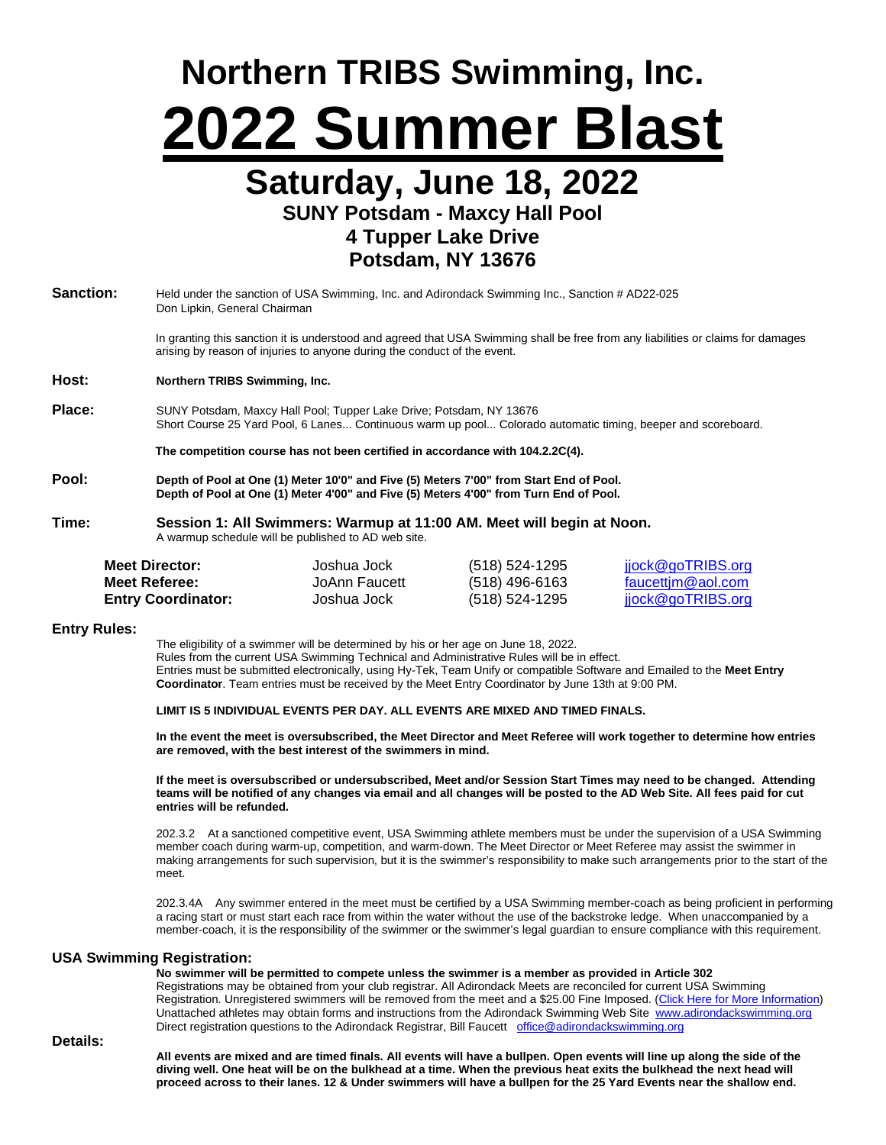## **Northern TRIBS Swimming, Inc. 2022 Summer Blast**

### **Saturday, June 18, 2022 SUNY Potsdam - Maxcy Hall Pool**

#### **4 Tupper Lake Drive Potsdam, NY 13676**

| <b>Sanction:</b> | Held under the sanction of USA Swimming, Inc. and Adirondack Swimming Inc., Sanction # AD22-025<br>Don Lipkin, General Chairman                                                                              |  |  |
|------------------|--------------------------------------------------------------------------------------------------------------------------------------------------------------------------------------------------------------|--|--|
|                  | In granting this sanction it is understood and agreed that USA Swimming shall be free from any liabilities or claims for damages<br>arising by reason of injuries to anyone during the conduct of the event. |  |  |
| Host:            | Northern TRIBS Swimming, Inc.                                                                                                                                                                                |  |  |
| Place:           | SUNY Potsdam, Maxcy Hall Pool; Tupper Lake Drive; Potsdam, NY 13676<br>Short Course 25 Yard Pool, 6 Lanes Continuous warm up pool Colorado automatic timing, beeper and scoreboard.                          |  |  |
|                  | The competition course has not been certified in accordance with 104.2.2C(4).                                                                                                                                |  |  |
| Pool:            | Depth of Pool at One (1) Meter 10'0" and Five (5) Meters 7'00" from Start End of Pool.<br>Depth of Pool at One (1) Meter 4'00" and Five (5) Meters 4'00" from Turn End of Pool.                              |  |  |
| Time:            | Session 1: All Swimmers: Warmup at 11:00 AM. Meet will begin at Noon.<br>A warmup schedule will be published to AD web site.                                                                                 |  |  |

| <b>Meet Director:</b>     | Joshua Jock   | (518) 524-1295 | jjock@goTRIBS.org        |
|---------------------------|---------------|----------------|--------------------------|
| Meet Referee:             | JoAnn Faucett | (518) 496-6163 | faucettim@aol.com        |
| <b>Entry Coordinator:</b> | Joshua Jock   | (518) 524-1295 | <u>jjock@goTRIBS.org</u> |

#### **Entry Rules:**

The eligibility of a swimmer will be determined by his or her age on June 18, 2022. Rules from the current USA Swimming Technical and Administrative Rules will be in effect. Entries must be submitted electronically, using Hy-Tek, Team Unify or compatible Software and Emailed to the **Meet Entry Coordinator**. Team entries must be received by the Meet Entry Coordinator by June 13th at 9:00 PM.

 **LIMIT IS 5 INDIVIDUAL EVENTS PER DAY. ALL EVENTS ARE MIXED AND TIMED FINALS.**

**In the event the meet is oversubscribed, the Meet Director and Meet Referee will work together to determine how entries are removed, with the best interest of the swimmers in mind.**

**If the meet is oversubscribed or undersubscribed, Meet and/or Session Start Times may need to be changed. Attending teams will be notified of any changes via email and all changes will be posted to the AD Web Site. All fees paid for cut entries will be refunded.**

202.3.2 At a sanctioned competitive event, USA Swimming athlete members must be under the supervision of a USA Swimming member coach during warm-up, competition, and warm-down. The Meet Director or Meet Referee may assist the swimmer in making arrangements for such supervision, but it is the swimmer's responsibility to make such arrangements prior to the start of the meet.

202.3.4A Any swimmer entered in the meet must be certified by a USA Swimming member-coach as being proficient in performing a racing start or must start each race from within the water without the use of the backstroke ledge. When unaccompanied by a member-coach, it is the responsibility of the swimmer or the swimmer's legal guardian to ensure compliance with this requirement.

#### **USA Swimming Registration:**

#### **No swimmer will be permitted to compete unless the swimmer is a member as provided in Article 302**

Registrations may be obtained from your club registrar. All Adirondack Meets are reconciled for current USA Swimming Registration. Unregistered swimmers will be removed from the meet and a \$25.00 Fine Imposed. (Click Here for More Information) Unattached athletes may obtain forms and instructions from the Adirondack Swimming Web Site [www.adirondackswimming.org](http://www.adirondackswimming.org/) Direct registration questions to the Adirondack Registrar, Bill Faucett [office@adirondackswimming.org](mailto:office@adirondackswimming.org)

#### **Details:**

**All events are mixed and are timed finals. All events will have a bullpen. Open events will line up along the side of the diving well. One heat will be on the bulkhead at a time. When the previous heat exits the bulkhead the next head will proceed across to their lanes. 12 & Under swimmers will have a bullpen for the 25 Yard Events near the shallow end.**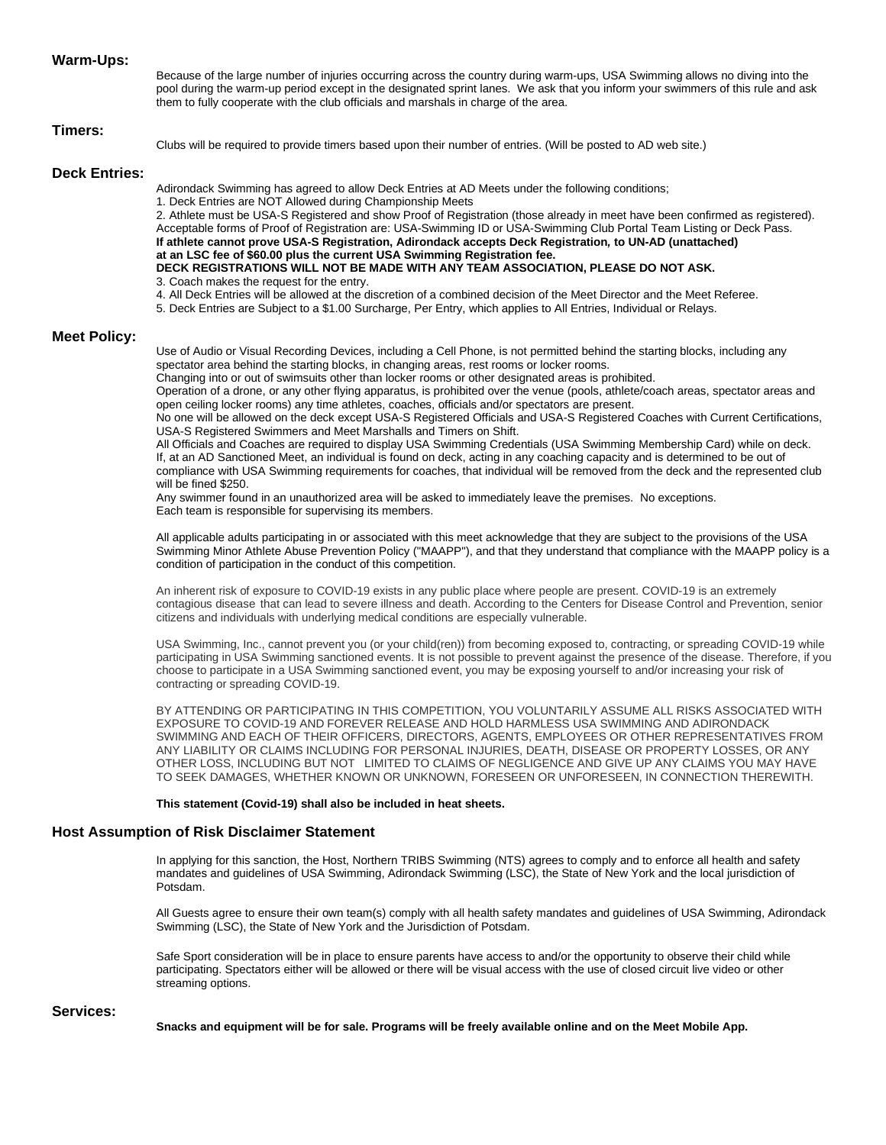#### **Warm-Ups:**

Because of the large number of injuries occurring across the country during warm-ups, USA Swimming allows no diving into the pool during the warm-up period except in the designated sprint lanes. We ask that you inform your swimmers of this rule and ask them to fully cooperate with the club officials and marshals in charge of the area.

#### **Timers:**

Clubs will be required to provide timers based upon their number of entries. (Will be posted to AD web site.)

#### **Deck Entries:**

Adirondack Swimming has agreed to allow Deck Entries at AD Meets under the following conditions;

1. Deck Entries are NOT Allowed during Championship Meets

2. Athlete must be USA-S Registered and show Proof of Registration (those already in meet have been confirmed as registered). Acceptable forms of Proof of Registration are: USA-Swimming ID or USA-Swimming Club Portal Team Listing or Deck Pass. **If athlete cannot prove USA-S Registration, Adirondack accepts Deck Registration***,* **to UN-AD (unattached) at an LSC fee of \$60.00 plus the current USA Swimming Registration fee. DECK REGISTRATIONS WILL NOT BE MADE WITH ANY TEAM ASSOCIATION, PLEASE DO NOT ASK.**

- 3. Coach makes the request for the entry.
- 4. All Deck Entries will be allowed at the discretion of a combined decision of the Meet Director and the Meet Referee.
- 5. Deck Entries are Subject to a \$1.00 Surcharge, Per Entry, which applies to All Entries, Individual or Relays.

#### **Meet Policy:**

Use of Audio or Visual Recording Devices, including a Cell Phone, is not permitted behind the starting blocks, including any spectator area behind the starting blocks, in changing areas, rest rooms or locker rooms.

Changing into or out of swimsuits other than locker rooms or other designated areas is prohibited.

Operation of a drone, or any other flying apparatus, is prohibited over the venue (pools, athlete/coach areas, spectator areas and open ceiling locker rooms) any time athletes, coaches, officials and/or spectators are present.

No one will be allowed on the deck except USA-S Registered Officials and USA-S Registered Coaches with Current Certifications, USA-S Registered Swimmers and Meet Marshalls and Timers on Shift.

All Officials and Coaches are required to display USA Swimming Credentials (USA Swimming Membership Card) while on deck. If, at an AD Sanctioned Meet, an individual is found on deck, acting in any coaching capacity and is determined to be out of compliance with USA Swimming requirements for coaches, that individual will be removed from the deck and the represented club will be fined \$250.

Any swimmer found in an unauthorized area will be asked to immediately leave the premises. No exceptions. Each team is responsible for supervising its members.

All applicable adults participating in or associated with this meet acknowledge that they are subject to the provisions of the USA Swimming Minor Athlete Abuse Prevention Policy ("MAAPP"), and that they understand that compliance with the MAAPP policy is a condition of participation in the conduct of this competition.

An inherent risk of exposure to COVID-19 exists in any public place where people are present. COVID-19 is an extremely contagious disease that can lead to severe illness and death. According to the Centers for Disease Control and Prevention, senior citizens and individuals with underlying medical conditions are especially vulnerable.

USA Swimming, Inc., cannot prevent you (or your child(ren)) from becoming exposed to, contracting, or spreading COVID-19 while participating in USA Swimming sanctioned events. It is not possible to prevent against the presence of the disease. Therefore, if you choose to participate in a USA Swimming sanctioned event, you may be exposing yourself to and/or increasing your risk of contracting or spreading COVID-19.

BY ATTENDING OR PARTICIPATING IN THIS COMPETITION, YOU VOLUNTARILY ASSUME ALL RISKS ASSOCIATED WITH EXPOSURE TO COVID-19 AND FOREVER RELEASE AND HOLD HARMLESS USA SWIMMING AND ADIRONDACK SWIMMING AND EACH OF THEIR OFFICERS, DIRECTORS, AGENTS, EMPLOYEES OR OTHER REPRESENTATIVES FROM ANY LIABILITY OR CLAIMS INCLUDING FOR PERSONAL INJURIES, DEATH, DISEASE OR PROPERTY LOSSES, OR ANY OTHER LOSS, INCLUDING BUT NOT LIMITED TO CLAIMS OF NEGLIGENCE AND GIVE UP ANY CLAIMS YOU MAY HAVE TO SEEK DAMAGES, WHETHER KNOWN OR UNKNOWN, FORESEEN OR UNFORESEEN, IN CONNECTION THEREWITH.

#### **This statement (Covid-19) shall also be included in heat sheets.**

#### **Host Assumption of Risk Disclaimer Statement**

In applying for this sanction, the Host, Northern TRIBS Swimming (NTS) agrees to comply and to enforce all health and safety mandates and guidelines of USA Swimming, Adirondack Swimming (LSC), the State of New York and the local jurisdiction of Potsdam.

All Guests agree to ensure their own team(s) comply with all health safety mandates and guidelines of USA Swimming, Adirondack Swimming (LSC), the State of New York and the Jurisdiction of Potsdam.

Safe Sport consideration will be in place to ensure parents have access to and/or the opportunity to observe their child while participating. Spectators either will be allowed or there will be visual access with the use of closed circuit live video or other streaming options.

#### **Services:**

**Snacks and equipment will be for sale. Programs will be freely available online and on the Meet Mobile App.**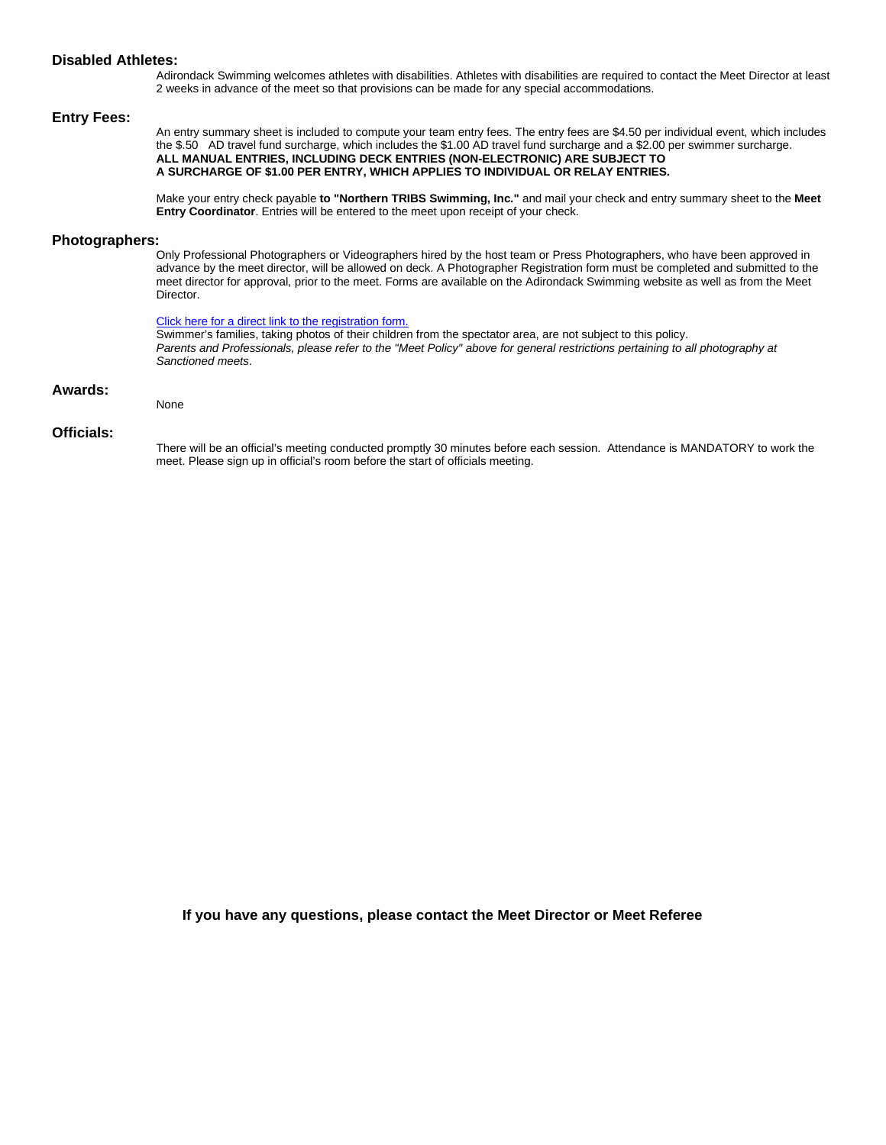#### **Disabled Athletes:**

Adirondack Swimming welcomes athletes with disabilities. Athletes with disabilities are required to contact the Meet Director at least 2 weeks in advance of the meet so that provisions can be made for any special accommodations.

#### **Entry Fees:**

An entry summary sheet is included to compute your team entry fees. The entry fees are \$4.50 per individual event, which includes the \$.50 AD travel fund surcharge, which includes the \$1.00 AD travel fund surcharge and a \$2.00 per swimmer surcharge. **ALL MANUAL ENTRIES, INCLUDING DECK ENTRIES (NON-ELECTRONIC) ARE SUBJECT TO A SURCHARGE OF \$1.00 PER ENTRY, WHICH APPLIES TO INDIVIDUAL OR RELAY ENTRIES.**

Make your entry check payable **to "Northern TRIBS Swimming, Inc."** and mail your check and entry summary sheet to the **Meet Entry Coordinator**. Entries will be entered to the meet upon receipt of your check.

#### **Photographers:**

Only Professional Photographers or Videographers hired by the host team or Press Photographers, who have been approved in advance by the meet director, will be allowed on deck. A Photographer Registration form must be completed and submitted to the meet director for approval, prior to the meet. Forms are available on the Adirondack Swimming website as well as from the Meet Director.

Click here for a direct link to the registration form. Swimmer's families, taking photos of their children from the spectator area, are not subject to this policy. Parents and Professionals, please refer to the "Meet Policy" above for general restrictions pertaining to all photography at *Sanctioned meets*.

#### **Awards:**

None

#### **Officials:**

There will be an official's meeting conducted promptly 30 minutes before each session. Attendance is MANDATORY to work the meet. Please sign up in official's room before the start of officials meeting.

**If you have any questions, please contact the Meet Director or Meet Referee**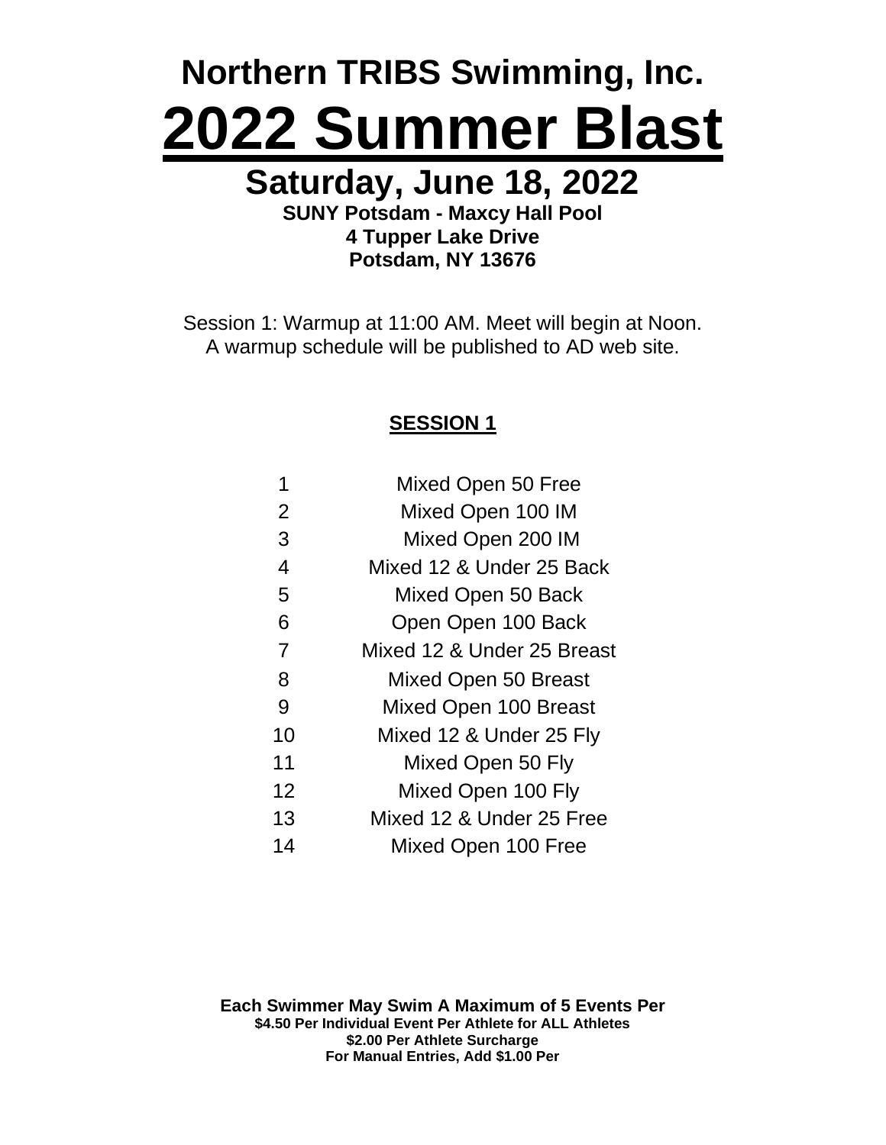# **Northern TRIBS Swimming, Inc. 2022 Summer Blast**

### **Saturday, June 18, 2022**

**SUNY Potsdam - Maxcy Hall Pool 4 Tupper Lake Drive Potsdam, NY 13676**

Session 1: Warmup at 11:00 AM. Meet will begin at Noon. A warmup schedule will be published to AD web site.

### **SESSION 1**

| 1              | Mixed Open 50 Free          |
|----------------|-----------------------------|
| $\overline{2}$ | Mixed Open 100 IM           |
| 3              | Mixed Open 200 IM           |
| $\overline{4}$ | Mixed 12 & Under 25 Back    |
| 5              | Mixed Open 50 Back          |
| 6              | Open Open 100 Back          |
| $\overline{7}$ | Mixed 12 & Under 25 Breast  |
| 8              | <b>Mixed Open 50 Breast</b> |
| 9              | Mixed Open 100 Breast       |
| 10             | Mixed 12 & Under 25 Fly     |
| 11             | Mixed Open 50 Fly           |
| 12             | Mixed Open 100 Fly          |
| 13             | Mixed 12 & Under 25 Free    |
| 14             | Mixed Open 100 Free         |

**Each Swimmer May Swim A Maximum of 5 Events Per \$4.50 Per Individual Event Per Athlete for ALL Athletes \$2.00 Per Athlete Surcharge For Manual Entries, Add \$1.00 Per**